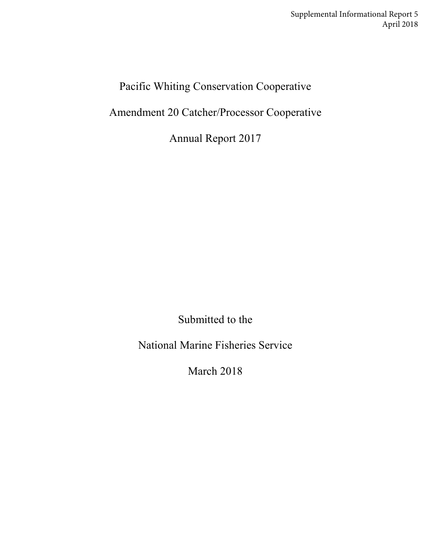Supplemental Informational Report 5 April 2018

Pacific Whiting Conservation Cooperative

Amendment 20 Catcher/Processor Cooperative

Annual Report 2017

Submitted to the

National Marine Fisheries Service

March 2018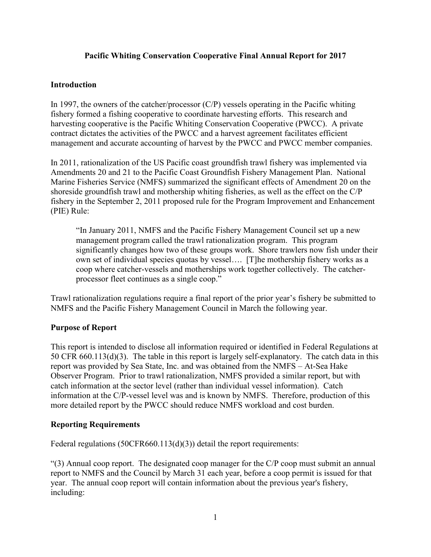## **Pacific Whiting Conservation Cooperative Final Annual Report for 2017**

#### **Introduction**

In 1997, the owners of the catcher/processor  $(C/P)$  vessels operating in the Pacific whiting fishery formed a fishing cooperative to coordinate harvesting efforts. This research and harvesting cooperative is the Pacific Whiting Conservation Cooperative (PWCC). A private contract dictates the activities of the PWCC and a harvest agreement facilitates efficient management and accurate accounting of harvest by the PWCC and PWCC member companies.

In 2011, rationalization of the US Pacific coast groundfish trawl fishery was implemented via Amendments 20 and 21 to the Pacific Coast Groundfish Fishery Management Plan. National Marine Fisheries Service (NMFS) summarized the significant effects of Amendment 20 on the shoreside groundfish trawl and mothership whiting fisheries, as well as the effect on the C/P fishery in the September 2, 2011 proposed rule for the Program Improvement and Enhancement (PIE) Rule:

"In January 2011, NMFS and the Pacific Fishery Management Council set up a new management program called the trawl rationalization program. This program significantly changes how two of these groups work. Shore trawlers now fish under their own set of individual species quotas by vessel…. [T]he mothership fishery works as a coop where catcher-vessels and motherships work together collectively. The catcherprocessor fleet continues as a single coop."

Trawl rationalization regulations require a final report of the prior year's fishery be submitted to NMFS and the Pacific Fishery Management Council in March the following year.

#### **Purpose of Report**

This report is intended to disclose all information required or identified in Federal Regulations at 50 CFR 660.113(d)(3). The table in this report is largely self-explanatory. The catch data in this report was provided by Sea State, Inc. and was obtained from the NMFS – At-Sea Hake Observer Program. Prior to trawl rationalization, NMFS provided a similar report, but with catch information at the sector level (rather than individual vessel information). Catch information at the C/P-vessel level was and is known by NMFS. Therefore, production of this more detailed report by the PWCC should reduce NMFS workload and cost burden.

#### **Reporting Requirements**

Federal regulations (50CFR660.113(d)(3)) detail the report requirements:

"(3) Annual coop report. The designated coop manager for the C/P coop must submit an annual report to NMFS and the Council by March 31 each year, before a coop permit is issued for that year. The annual coop report will contain information about the previous year's fishery, including: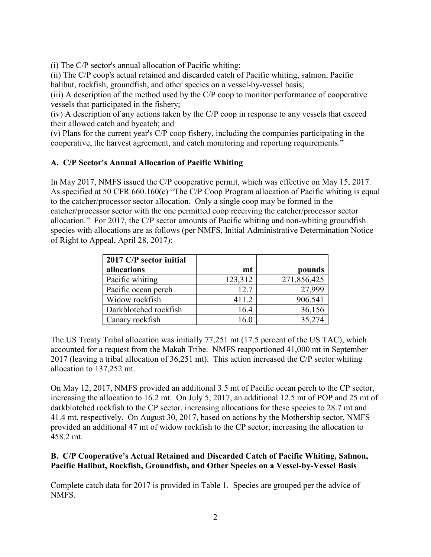(i) The C/P sector's annual allocation of Pacific whiting;

(ii) The C/P coop's actual retained and discarded catch of Pacific whiting, salmon, Pacific halibut, rockfish, groundfish, and other species on a vessel-by-vessel basis;

(iii) A description of the method used by the C/P coop to monitor performance of cooperative vessels that participated in the fishery;

(iv) A description of any actions taken by the C/P coop in response to any vessels that exceed their allowed catch and bycatch; and

(v) Plans for the current year's C/P coop fishery, including the companies participating in the cooperative, the harvest agreement, and catch monitoring and reporting requirements."

# **A. C/P Sector's Annual Allocation of Pacific Whiting**

In May 2017, NMFS issued the C/P cooperative permit, which was effective on May 15, 2017. As specified at 50 CFR 660.160(c) "The C/P Coop Program allocation of Pacific whiting is equal to the catcher/processor sector allocation. Only a single coop may be formed in the catcher/processor sector with the one permitted coop receiving the catcher/processor sector allocation." For 2017, the C/P sector amounts of Pacific whiting and non-whiting groundfish species with allocations are as follows (per NMFS, Initial Administrative Determination Notice of Right to Appeal, April 28, 2017):

| 2017 C/P sector initial |         |             |
|-------------------------|---------|-------------|
| allocations             | mt      | pounds      |
| Pacific whiting         | 123,312 | 271,856,425 |
| Pacific ocean perch     | 12.7    | 27,999      |
| Widow rockfish          | 411.2   | 906.541     |
| Darkblotched rockfish   | 16.4    | 36,156      |
| Canary rockfish         | 16.0    | 35,274      |

The US Treaty Tribal allocation was initially 77,251 mt (17.5 percent of the US TAC), which accounted for a request from the Makah Tribe. NMFS reapportioned 41,000 mt in September 2017 (leaving a tribal allocation of 36,251 mt). This action increased the C/P sector whiting allocation to 137,252 mt.

On May 12, 2017, NMFS provided an additional 3.5 mt of Pacific ocean perch to the CP sector, increasing the allocation to 16.2 mt. On July 5, 2017, an additional 12.5 mt of POP and 25 mt of darkblotched rockfish to the CP sector, increasing allocations for these species to 28.7 mt and 41.4 mt, respectively. On August 30, 2017, based on actions by the Mothership sector, NMFS provided an additional 47 mt of widow rockfish to the CP sector, increasing the allocation to 458.2 mt.

## **B. C/P Cooperative's Actual Retained and Discarded Catch of Pacific Whiting, Salmon, Pacific Halibut, Rockfish, Groundfish, and Other Species on a Vessel-by-Vessel Basis**

Complete catch data for 2017 is provided in Table 1. Species are grouped per the advice of NMFS.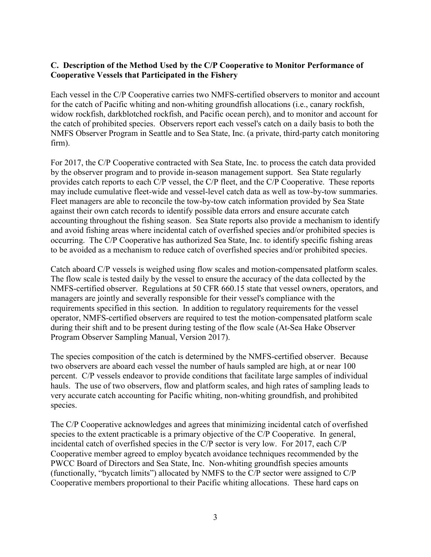# **C. Description of the Method Used by the C/P Cooperative to Monitor Performance of Cooperative Vessels that Participated in the Fishery**

Each vessel in the C/P Cooperative carries two NMFS-certified observers to monitor and account for the catch of Pacific whiting and non-whiting groundfish allocations (i.e., canary rockfish, widow rockfish, darkblotched rockfish, and Pacific ocean perch), and to monitor and account for the catch of prohibited species. Observers report each vessel's catch on a daily basis to both the NMFS Observer Program in Seattle and to Sea State, Inc. (a private, third-party catch monitoring firm).

For 2017, the C/P Cooperative contracted with Sea State, Inc. to process the catch data provided by the observer program and to provide in-season management support. Sea State regularly provides catch reports to each C/P vessel, the C/P fleet, and the C/P Cooperative. These reports may include cumulative fleet-wide and vessel-level catch data as well as tow-by-tow summaries. Fleet managers are able to reconcile the tow-by-tow catch information provided by Sea State against their own catch records to identify possible data errors and ensure accurate catch accounting throughout the fishing season. Sea State reports also provide a mechanism to identify and avoid fishing areas where incidental catch of overfished species and/or prohibited species is occurring. The C/P Cooperative has authorized Sea State, Inc. to identify specific fishing areas to be avoided as a mechanism to reduce catch of overfished species and/or prohibited species.

Catch aboard C/P vessels is weighed using flow scales and motion-compensated platform scales. The flow scale is tested daily by the vessel to ensure the accuracy of the data collected by the NMFS-certified observer. Regulations at 50 CFR 660.15 state that vessel owners, operators, and managers are jointly and severally responsible for their vessel's compliance with the requirements specified in this section. In addition to regulatory requirements for the vessel operator, NMFS-certified observers are required to test the motion-compensated platform scale during their shift and to be present during testing of the flow scale (At-Sea Hake Observer Program Observer Sampling Manual, Version 2017).

The species composition of the catch is determined by the NMFS-certified observer. Because two observers are aboard each vessel the number of hauls sampled are high, at or near 100 percent. C/P vessels endeavor to provide conditions that facilitate large samples of individual hauls. The use of two observers, flow and platform scales, and high rates of sampling leads to very accurate catch accounting for Pacific whiting, non-whiting groundfish, and prohibited species.

The C/P Cooperative acknowledges and agrees that minimizing incidental catch of overfished species to the extent practicable is a primary objective of the C/P Cooperative. In general, incidental catch of overfished species in the C/P sector is very low. For 2017, each C/P Cooperative member agreed to employ bycatch avoidance techniques recommended by the PWCC Board of Directors and Sea State, Inc. Non-whiting groundfish species amounts (functionally, "bycatch limits") allocated by NMFS to the C/P sector were assigned to C/P Cooperative members proportional to their Pacific whiting allocations. These hard caps on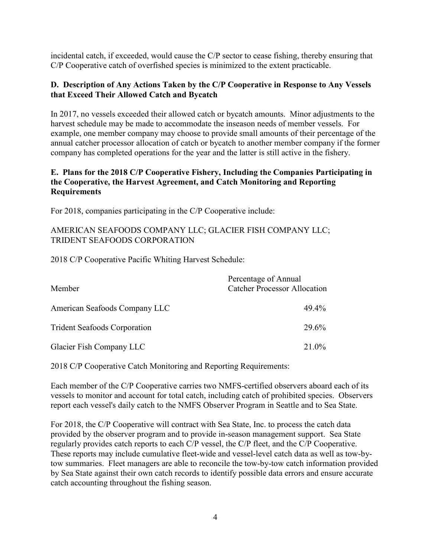incidental catch, if exceeded, would cause the C/P sector to cease fishing, thereby ensuring that C/P Cooperative catch of overfished species is minimized to the extent practicable.

## **D. Description of Any Actions Taken by the C/P Cooperative in Response to Any Vessels that Exceed Their Allowed Catch and Bycatch**

In 2017, no vessels exceeded their allowed catch or bycatch amounts. Minor adjustments to the harvest schedule may be made to accommodate the inseason needs of member vessels. For example, one member company may choose to provide small amounts of their percentage of the annual catcher processor allocation of catch or bycatch to another member company if the former company has completed operations for the year and the latter is still active in the fishery.

## **E. Plans for the 2018 C/P Cooperative Fishery, Including the Companies Participating in the Cooperative, the Harvest Agreement, and Catch Monitoring and Reporting Requirements**

For 2018, companies participating in the C/P Cooperative include:

## AMERICAN SEAFOODS COMPANY LLC; GLACIER FISH COMPANY LLC; TRIDENT SEAFOODS CORPORATION

2018 C/P Cooperative Pacific Whiting Harvest Schedule:

| Member                              | Percentage of Annual<br><b>Catcher Processor Allocation</b> |  |  |  |
|-------------------------------------|-------------------------------------------------------------|--|--|--|
| American Seafoods Company LLC       | 49.4%                                                       |  |  |  |
| <b>Trident Seafoods Corporation</b> | 29.6%                                                       |  |  |  |
| Glacier Fish Company LLC            | 21.0%                                                       |  |  |  |

2018 C/P Cooperative Catch Monitoring and Reporting Requirements:

Each member of the C/P Cooperative carries two NMFS-certified observers aboard each of its vessels to monitor and account for total catch, including catch of prohibited species. Observers report each vessel's daily catch to the NMFS Observer Program in Seattle and to Sea State.

For 2018, the C/P Cooperative will contract with Sea State, Inc. to process the catch data provided by the observer program and to provide in-season management support. Sea State regularly provides catch reports to each C/P vessel, the C/P fleet, and the C/P Cooperative. These reports may include cumulative fleet-wide and vessel-level catch data as well as tow-bytow summaries. Fleet managers are able to reconcile the tow-by-tow catch information provided by Sea State against their own catch records to identify possible data errors and ensure accurate catch accounting throughout the fishing season.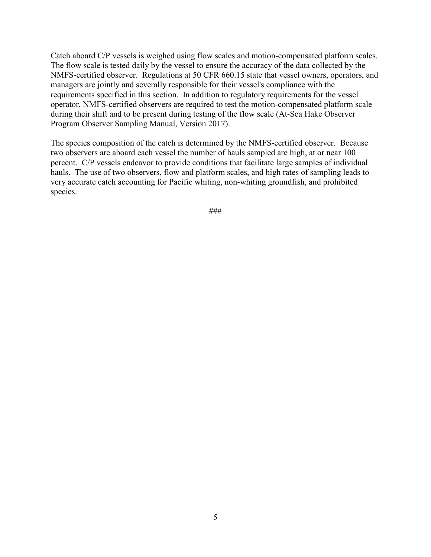Catch aboard C/P vessels is weighed using flow scales and motion-compensated platform scales. The flow scale is tested daily by the vessel to ensure the accuracy of the data collected by the NMFS-certified observer. Regulations at 50 CFR 660.15 state that vessel owners, operators, and managers are jointly and severally responsible for their vessel's compliance with the requirements specified in this section. In addition to regulatory requirements for the vessel operator, NMFS-certified observers are required to test the motion-compensated platform scale during their shift and to be present during testing of the flow scale (At-Sea Hake Observer Program Observer Sampling Manual, Version 2017).

The species composition of the catch is determined by the NMFS-certified observer. Because two observers are aboard each vessel the number of hauls sampled are high, at or near 100 percent. C/P vessels endeavor to provide conditions that facilitate large samples of individual hauls. The use of two observers, flow and platform scales, and high rates of sampling leads to very accurate catch accounting for Pacific whiting, non-whiting groundfish, and prohibited species.

###